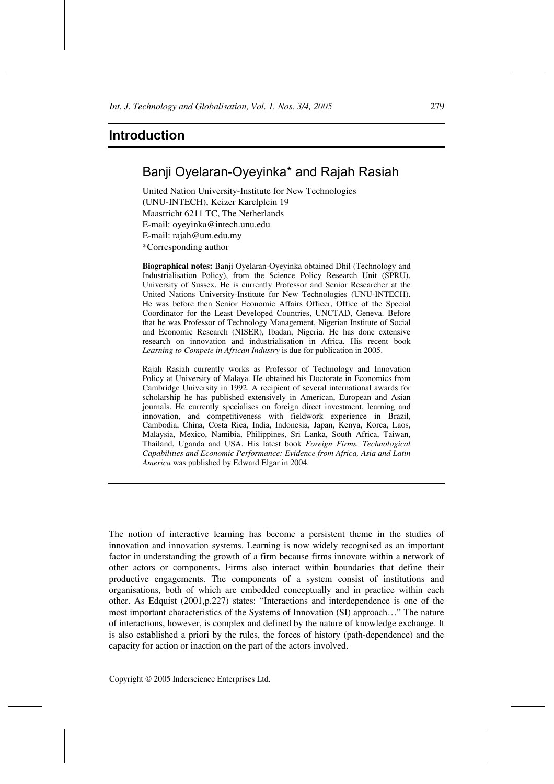# Banji Oyelaran-Oyeyinka\* and Rajah Rasiah

United Nation University-Institute for New Technologies (UNU-INTECH), Keizer Karelplein 19 Maastricht 6211 TC, The Netherlands E-mail: oyeyinka@intech.unu.edu E-mail: rajah@um.edu.my \*Corresponding author

**Biographical notes:** Banji Oyelaran-Oyeyinka obtained Dhil (Technology and Industrialisation Policy), from the Science Policy Research Unit (SPRU), University of Sussex. He is currently Professor and Senior Researcher at the United Nations University-Institute for New Technologies (UNU-INTECH). He was before then Senior Economic Affairs Officer, Office of the Special Coordinator for the Least Developed Countries, UNCTAD, Geneva. Before that he was Professor of Technology Management, Nigerian Institute of Social and Economic Research (NISER), Ibadan, Nigeria. He has done extensive research on innovation and industrialisation in Africa. His recent book *Learning to Compete in African Industry* is due for publication in 2005.

Rajah Rasiah currently works as Professor of Technology and Innovation Policy at University of Malaya. He obtained his Doctorate in Economics from Cambridge University in 1992. A recipient of several international awards for scholarship he has published extensively in American, European and Asian journals. He currently specialises on foreign direct investment, learning and innovation, and competitiveness with fieldwork experience in Brazil, Cambodia, China, Costa Rica, India, Indonesia, Japan, Kenya, Korea, Laos, Malaysia, Mexico, Namibia, Philippines, Sri Lanka, South Africa, Taiwan, Thailand, Uganda and USA. His latest book *Foreign Firms, Technological Capabilities and Economic Performance: Evidence from Africa, Asia and Latin America* was published by Edward Elgar in 2004.

The notion of interactive learning has become a persistent theme in the studies of innovation and innovation systems. Learning is now widely recognised as an important factor in understanding the growth of a firm because firms innovate within a network of other actors or components. Firms also interact within boundaries that define their productive engagements. The components of a system consist of institutions and organisations, both of which are embedded conceptually and in practice within each other. As Edquist (2001,p.227) states: "Interactions and interdependence is one of the most important characteristics of the Systems of Innovation (SI) approach…" The nature of interactions, however, is complex and defined by the nature of knowledge exchange. It is also established a priori by the rules, the forces of history (path-dependence) and the capacity for action or inaction on the part of the actors involved.

Copyright © 2005 Inderscience Enterprises Ltd.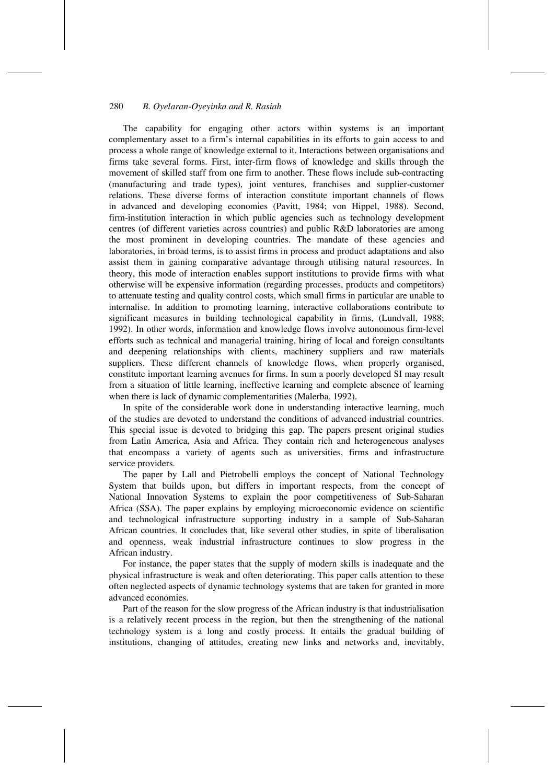### 280 *B. Oyelaran-Oyeyinka and R. Rasiah*

The capability for engaging other actors within systems is an important complementary asset to a firm's internal capabilities in its efforts to gain access to and process a whole range of knowledge external to it. Interactions between organisations and firms take several forms. First, inter-firm flows of knowledge and skills through the movement of skilled staff from one firm to another. These flows include sub-contracting (manufacturing and trade types), joint ventures, franchises and supplier-customer relations. These diverse forms of interaction constitute important channels of flows in advanced and developing economies (Pavitt, 1984; von Hippel, 1988). Second, firm-institution interaction in which public agencies such as technology development centres (of different varieties across countries) and public R&D laboratories are among the most prominent in developing countries. The mandate of these agencies and laboratories, in broad terms, is to assist firms in process and product adaptations and also assist them in gaining comparative advantage through utilising natural resources. In theory, this mode of interaction enables support institutions to provide firms with what otherwise will be expensive information (regarding processes, products and competitors) to attenuate testing and quality control costs, which small firms in particular are unable to internalise. In addition to promoting learning, interactive collaborations contribute to significant measures in building technological capability in firms, (Lundvall, 1988; 1992). In other words, information and knowledge flows involve autonomous firm-level efforts such as technical and managerial training, hiring of local and foreign consultants and deepening relationships with clients, machinery suppliers and raw materials suppliers. These different channels of knowledge flows, when properly organised, constitute important learning avenues for firms. In sum a poorly developed SI may result from a situation of little learning, ineffective learning and complete absence of learning when there is lack of dynamic complementarities (Malerba, 1992).

In spite of the considerable work done in understanding interactive learning, much of the studies are devoted to understand the conditions of advanced industrial countries. This special issue is devoted to bridging this gap. The papers present original studies from Latin America, Asia and Africa. They contain rich and heterogeneous analyses that encompass a variety of agents such as universities, firms and infrastructure service providers.

The paper by Lall and Pietrobelli employs the concept of National Technology System that builds upon, but differs in important respects, from the concept of National Innovation Systems to explain the poor competitiveness of Sub-Saharan Africa (SSA). The paper explains by employing microeconomic evidence on scientific and technological infrastructure supporting industry in a sample of Sub-Saharan African countries. It concludes that, like several other studies, in spite of liberalisation and openness, weak industrial infrastructure continues to slow progress in the African industry.

For instance, the paper states that the supply of modern skills is inadequate and the physical infrastructure is weak and often deteriorating. This paper calls attention to these often neglected aspects of dynamic technology systems that are taken for granted in more advanced economies.

Part of the reason for the slow progress of the African industry is that industrialisation is a relatively recent process in the region, but then the strengthening of the national technology system is a long and costly process. It entails the gradual building of institutions, changing of attitudes, creating new links and networks and, inevitably,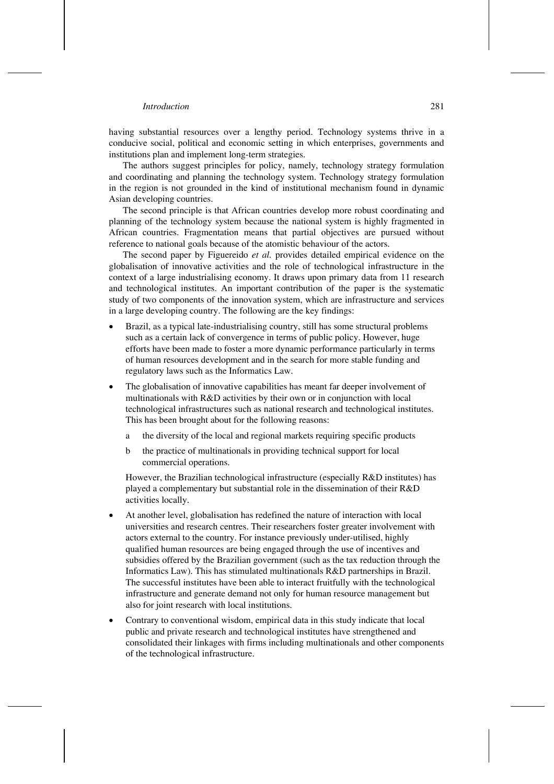having substantial resources over a lengthy period. Technology systems thrive in a conducive social, political and economic setting in which enterprises, governments and institutions plan and implement long-term strategies.

The authors suggest principles for policy, namely, technology strategy formulation and coordinating and planning the technology system. Technology strategy formulation in the region is not grounded in the kind of institutional mechanism found in dynamic Asian developing countries.

The second principle is that African countries develop more robust coordinating and planning of the technology system because the national system is highly fragmented in African countries. Fragmentation means that partial objectives are pursued without reference to national goals because of the atomistic behaviour of the actors.

The second paper by Figuereido *et al.* provides detailed empirical evidence on the globalisation of innovative activities and the role of technological infrastructure in the context of a large industrialising economy. It draws upon primary data from 11 research and technological institutes. An important contribution of the paper is the systematic study of two components of the innovation system, which are infrastructure and services in a large developing country. The following are the key findings:

- Brazil, as a typical late-industrialising country, still has some structural problems such as a certain lack of convergence in terms of public policy. However, huge efforts have been made to foster a more dynamic performance particularly in terms of human resources development and in the search for more stable funding and regulatory laws such as the Informatics Law.
- The globalisation of innovative capabilities has meant far deeper involvement of multinationals with R&D activities by their own or in conjunction with local technological infrastructures such as national research and technological institutes. This has been brought about for the following reasons:
	- a the diversity of the local and regional markets requiring specific products
	- b the practice of multinationals in providing technical support for local commercial operations.

However, the Brazilian technological infrastructure (especially R&D institutes) has played a complementary but substantial role in the dissemination of their R&D activities locally.

- At another level, globalisation has redefined the nature of interaction with local universities and research centres. Their researchers foster greater involvement with actors external to the country. For instance previously under-utilised, highly qualified human resources are being engaged through the use of incentives and subsidies offered by the Brazilian government (such as the tax reduction through the Informatics Law). This has stimulated multinationals R&D partnerships in Brazil. The successful institutes have been able to interact fruitfully with the technological infrastructure and generate demand not only for human resource management but also for joint research with local institutions.
- Contrary to conventional wisdom, empirical data in this study indicate that local public and private research and technological institutes have strengthened and consolidated their linkages with firms including multinationals and other components of the technological infrastructure.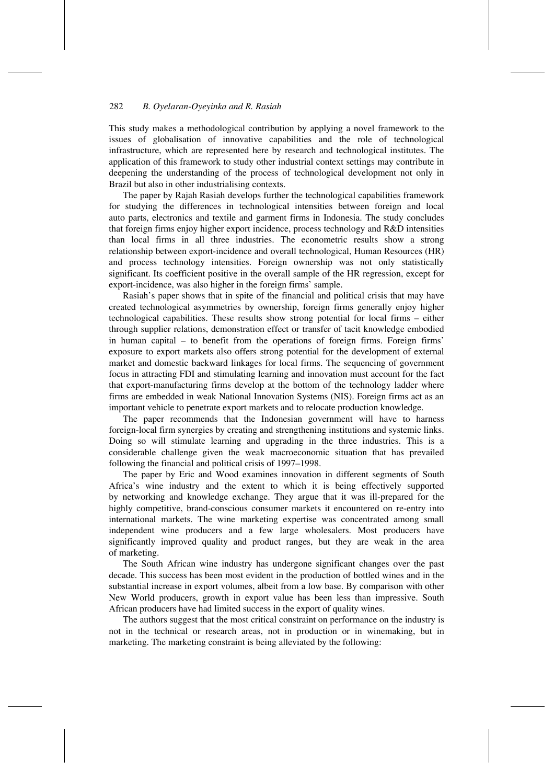### 282 *B. Oyelaran-Oyeyinka and R. Rasiah*

This study makes a methodological contribution by applying a novel framework to the issues of globalisation of innovative capabilities and the role of technological infrastructure, which are represented here by research and technological institutes. The application of this framework to study other industrial context settings may contribute in deepening the understanding of the process of technological development not only in Brazil but also in other industrialising contexts.

The paper by Rajah Rasiah develops further the technological capabilities framework for studying the differences in technological intensities between foreign and local auto parts, electronics and textile and garment firms in Indonesia. The study concludes that foreign firms enjoy higher export incidence, process technology and R&D intensities than local firms in all three industries. The econometric results show a strong relationship between export-incidence and overall technological, Human Resources (HR) and process technology intensities. Foreign ownership was not only statistically significant. Its coefficient positive in the overall sample of the HR regression, except for export-incidence, was also higher in the foreign firms' sample.

Rasiah's paper shows that in spite of the financial and political crisis that may have created technological asymmetries by ownership, foreign firms generally enjoy higher technological capabilities. These results show strong potential for local firms – either through supplier relations, demonstration effect or transfer of tacit knowledge embodied in human capital – to benefit from the operations of foreign firms. Foreign firms' exposure to export markets also offers strong potential for the development of external market and domestic backward linkages for local firms. The sequencing of government focus in attracting FDI and stimulating learning and innovation must account for the fact that export-manufacturing firms develop at the bottom of the technology ladder where firms are embedded in weak National Innovation Systems (NIS). Foreign firms act as an important vehicle to penetrate export markets and to relocate production knowledge.

The paper recommends that the Indonesian government will have to harness foreign-local firm synergies by creating and strengthening institutions and systemic links. Doing so will stimulate learning and upgrading in the three industries. This is a considerable challenge given the weak macroeconomic situation that has prevailed following the financial and political crisis of 1997–1998.

The paper by Eric and Wood examines innovation in different segments of South Africa's wine industry and the extent to which it is being effectively supported by networking and knowledge exchange. They argue that it was ill-prepared for the highly competitive, brand-conscious consumer markets it encountered on re-entry into international markets. The wine marketing expertise was concentrated among small independent wine producers and a few large wholesalers. Most producers have significantly improved quality and product ranges, but they are weak in the area of marketing.

The South African wine industry has undergone significant changes over the past decade. This success has been most evident in the production of bottled wines and in the substantial increase in export volumes, albeit from a low base. By comparison with other New World producers, growth in export value has been less than impressive. South African producers have had limited success in the export of quality wines.

The authors suggest that the most critical constraint on performance on the industry is not in the technical or research areas, not in production or in winemaking, but in marketing. The marketing constraint is being alleviated by the following: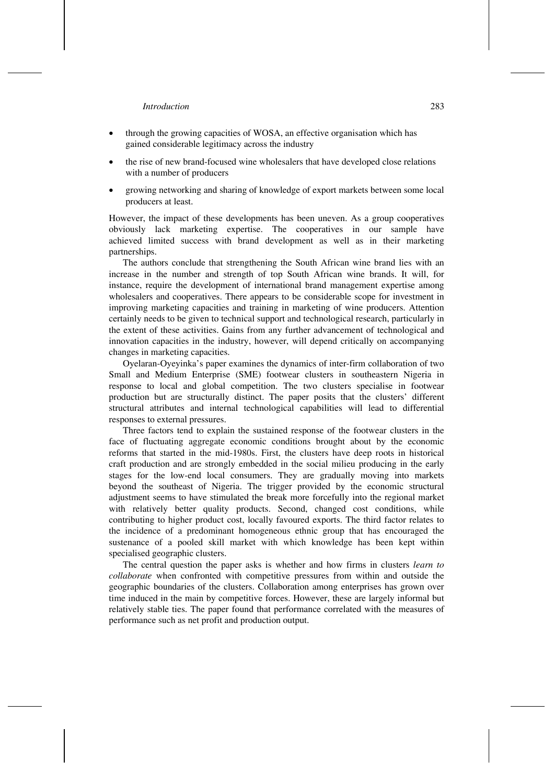- through the growing capacities of WOSA, an effective organisation which has gained considerable legitimacy across the industry
- the rise of new brand-focused wine wholesalers that have developed close relations with a number of producers
- growing networking and sharing of knowledge of export markets between some local producers at least.

However, the impact of these developments has been uneven. As a group cooperatives obviously lack marketing expertise. The cooperatives in our sample have achieved limited success with brand development as well as in their marketing partnerships.

The authors conclude that strengthening the South African wine brand lies with an increase in the number and strength of top South African wine brands. It will, for instance, require the development of international brand management expertise among wholesalers and cooperatives. There appears to be considerable scope for investment in improving marketing capacities and training in marketing of wine producers. Attention certainly needs to be given to technical support and technological research, particularly in the extent of these activities. Gains from any further advancement of technological and innovation capacities in the industry, however, will depend critically on accompanying changes in marketing capacities.

Oyelaran-Oyeyinka's paper examines the dynamics of inter-firm collaboration of two Small and Medium Enterprise (SME) footwear clusters in southeastern Nigeria in response to local and global competition. The two clusters specialise in footwear production but are structurally distinct. The paper posits that the clusters' different structural attributes and internal technological capabilities will lead to differential responses to external pressures.

Three factors tend to explain the sustained response of the footwear clusters in the face of fluctuating aggregate economic conditions brought about by the economic reforms that started in the mid-1980s. First, the clusters have deep roots in historical craft production and are strongly embedded in the social milieu producing in the early stages for the low-end local consumers. They are gradually moving into markets beyond the southeast of Nigeria. The trigger provided by the economic structural adjustment seems to have stimulated the break more forcefully into the regional market with relatively better quality products. Second, changed cost conditions, while contributing to higher product cost, locally favoured exports. The third factor relates to the incidence of a predominant homogeneous ethnic group that has encouraged the sustenance of a pooled skill market with which knowledge has been kept within specialised geographic clusters.

The central question the paper asks is whether and how firms in clusters *learn to collaborate* when confronted with competitive pressures from within and outside the geographic boundaries of the clusters. Collaboration among enterprises has grown over time induced in the main by competitive forces. However, these are largely informal but relatively stable ties. The paper found that performance correlated with the measures of performance such as net profit and production output.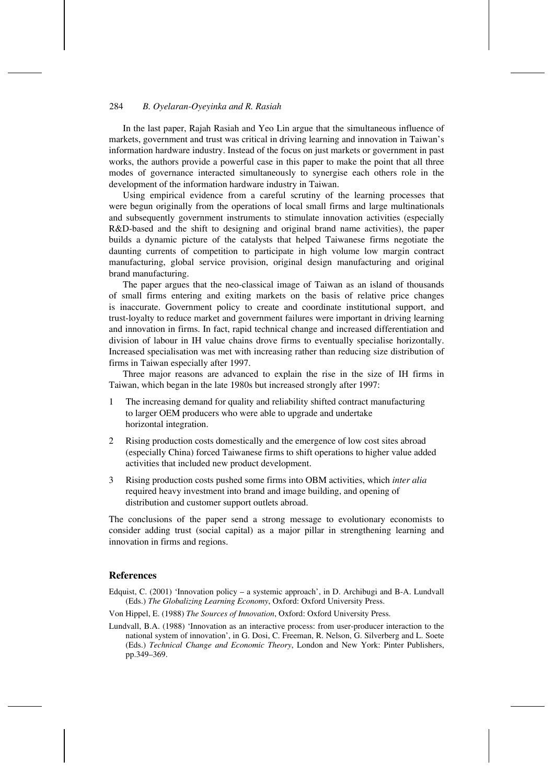### 284 *B. Oyelaran-Oyeyinka and R. Rasiah*

In the last paper, Rajah Rasiah and Yeo Lin argue that the simultaneous influence of markets, government and trust was critical in driving learning and innovation in Taiwan's information hardware industry. Instead of the focus on just markets or government in past works, the authors provide a powerful case in this paper to make the point that all three modes of governance interacted simultaneously to synergise each others role in the development of the information hardware industry in Taiwan.

Using empirical evidence from a careful scrutiny of the learning processes that were begun originally from the operations of local small firms and large multinationals and subsequently government instruments to stimulate innovation activities (especially R&D-based and the shift to designing and original brand name activities), the paper builds a dynamic picture of the catalysts that helped Taiwanese firms negotiate the daunting currents of competition to participate in high volume low margin contract manufacturing, global service provision, original design manufacturing and original brand manufacturing.

The paper argues that the neo-classical image of Taiwan as an island of thousands of small firms entering and exiting markets on the basis of relative price changes is inaccurate. Government policy to create and coordinate institutional support, and trust-loyalty to reduce market and government failures were important in driving learning and innovation in firms. In fact, rapid technical change and increased differentiation and division of labour in IH value chains drove firms to eventually specialise horizontally. Increased specialisation was met with increasing rather than reducing size distribution of firms in Taiwan especially after 1997.

Three major reasons are advanced to explain the rise in the size of IH firms in Taiwan, which began in the late 1980s but increased strongly after 1997:

- 1 The increasing demand for quality and reliability shifted contract manufacturing to larger OEM producers who were able to upgrade and undertake horizontal integration.
- 2 Rising production costs domestically and the emergence of low cost sites abroad (especially China) forced Taiwanese firms to shift operations to higher value added activities that included new product development.
- 3 Rising production costs pushed some firms into OBM activities, which *inter alia* required heavy investment into brand and image building, and opening of distribution and customer support outlets abroad.

The conclusions of the paper send a strong message to evolutionary economists to consider adding trust (social capital) as a major pillar in strengthening learning and innovation in firms and regions.

## **References**

- Edquist, C. (2001) 'Innovation policy a systemic approach', in D. Archibugi and B-A. Lundvall (Eds.) *The Globalizing Learning Economy*, Oxford: Oxford University Press.
- Von Hippel, E. (1988) *The Sources of Innovation*, Oxford: Oxford University Press.
- Lundvall, B.A. (1988) 'Innovation as an interactive process: from user-producer interaction to the national system of innovation', in G. Dosi, C. Freeman, R. Nelson, G. Silverberg and L. Soete (Eds.) *Technical Change and Economic Theory*, London and New York: Pinter Publishers, pp.349–369.